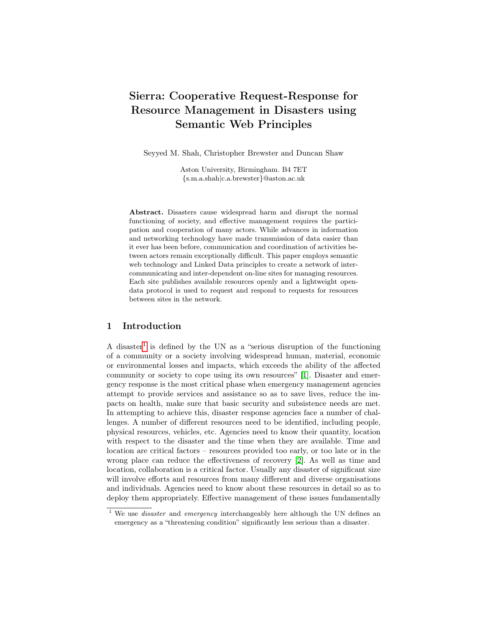# Sierra: Cooperative Request-Response for Resource Management in Disasters using Semantic Web Principles

Seyyed M. Shah, Christopher Brewster and Duncan Shaw

Aston University, Birmingham. B4 7ET {s.m.a.shah|c.a.brewster}@aston.ac.uk

Abstract. Disasters cause widespread harm and disrupt the normal functioning of society, and effective management requires the participation and cooperation of many actors. While advances in information and networking technology have made transmission of data easier than it ever has been before, communication and coordination of activities between actors remain exceptionally difficult. This paper employs semantic web technology and Linked Data principles to create a network of intercommunicating and inter-dependent on-line sites for managing resources. Each site publishes available resources openly and a lightweight opendata protocol is used to request and respond to requests for resources between sites in the network.

#### 1 Introduction

A disaster<sup>[1](#page-0-0)</sup> is defined by the UN as a "serious disruption of the functioning of a community or a society involving widespread human, material, economic or environmental losses and impacts, which exceeds the ability of the affected community or society to cope using its own resources" [\[1\]](#page-11-0). Disaster and emergency response is the most critical phase when emergency management agencies attempt to provide services and assistance so as to save lives, reduce the impacts on health, make sure that basic security and subsistence needs are met. In attempting to achieve this, disaster response agencies face a number of challenges. A number of different resources need to be identified, including people, physical resources, vehicles, etc. Agencies need to know their quantity, location with respect to the disaster and the time when they are available. Time and location are critical factors – resources provided too early, or too late or in the wrong place can reduce the effectiveness of recovery [\[2\]](#page-11-1). As well as time and location, collaboration is a critical factor. Usually any disaster of significant size will involve efforts and resources from many different and diverse organisations and individuals. Agencies need to know about these resources in detail so as to deploy them appropriately. Effective management of these issues fundamentally

<span id="page-0-0"></span> $1$  We use *disaster* and *emergency* interchangeably here although the UN defines an emergency as a "threatening condition" significantly less serious than a disaster.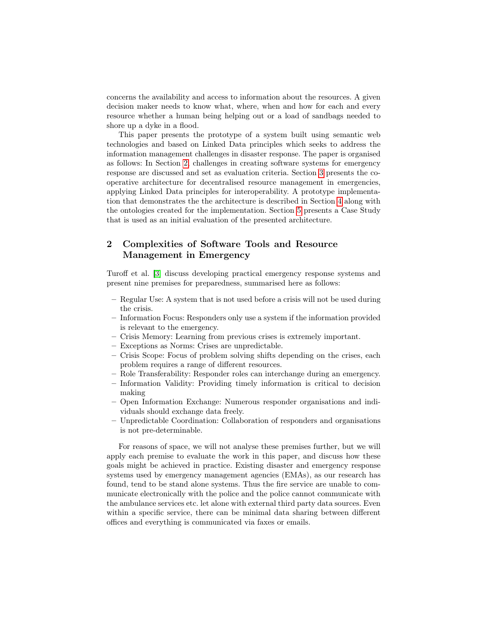concerns the availability and access to information about the resources. A given decision maker needs to know what, where, when and how for each and every resource whether a human being helping out or a load of sandbags needed to shore up a dyke in a flood.

This paper presents the prototype of a system built using semantic web technologies and based on Linked Data principles which seeks to address the information management challenges in disaster response. The paper is organised as follows: In Section [2,](#page-1-0) challenges in creating software systems for emergency response are discussed and set as evaluation criteria. Section [3](#page-3-0) presents the cooperative architecture for decentralised resource management in emergencies, applying Linked Data principles for interoperability. A prototype implementation that demonstrates the the architecture is described in Section [4](#page-4-0) along with the ontologies created for the implementation. Section [5](#page-8-0) presents a Case Study that is used as an initial evaluation of the presented architecture.

## <span id="page-1-0"></span>2 Complexities of Software Tools and Resource Management in Emergency

Turoff et al. [\[3\]](#page-11-2) discuss developing practical emergency response systems and present nine premises for preparedness, summarised here as follows:

- Regular Use: A system that is not used before a crisis will not be used during the crisis.
- Information Focus: Responders only use a system if the information provided is relevant to the emergency.
- Crisis Memory: Learning from previous crises is extremely important.
- Exceptions as Norms: Crises are unpredictable.
- Crisis Scope: Focus of problem solving shifts depending on the crises, each problem requires a range of different resources.
- Role Transferability: Responder roles can interchange during an emergency.
- Information Validity: Providing timely information is critical to decision making
- Open Information Exchange: Numerous responder organisations and individuals should exchange data freely.
- Unpredictable Coordination: Collaboration of responders and organisations is not pre-determinable.

For reasons of space, we will not analyse these premises further, but we will apply each premise to evaluate the work in this paper, and discuss how these goals might be achieved in practice. Existing disaster and emergency response systems used by emergency management agencies (EMAs), as our research has found, tend to be stand alone systems. Thus the fire service are unable to communicate electronically with the police and the police cannot communicate with the ambulance services etc. let alone with external third party data sources. Even within a specific service, there can be minimal data sharing between different offices and everything is communicated via faxes or emails.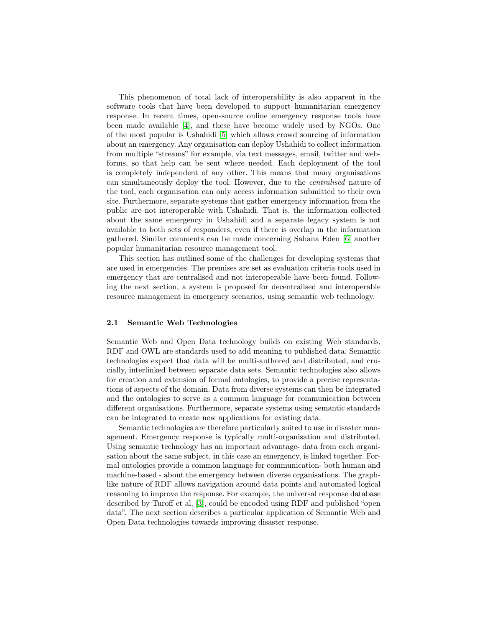This phenomenon of total lack of interoperability is also apparent in the software tools that have been developed to support humanitarian emergency response. In recent times, open-source online emergency response tools have been made available [\[4\]](#page-11-3), and these have become widely used by NGOs. One of the most popular is Ushahidi [\[5\]](#page-11-4) which allows crowd sourcing of information about an emergency. Any organisation can deploy Ushahidi to collect information from multiple "streams" for example, via text messages, email, twitter and webforms, so that help can be sent where needed. Each deployment of the tool is completely independent of any other. This means that many organisations can simultaneously deploy the tool. However, due to the centralised nature of the tool, each organisation can only access information submitted to their own site. Furthermore, separate systems that gather emergency information from the public are not interoperable with Ushahidi. That is, the information collected about the same emergency in Ushahidi and a separate legacy system is not available to both sets of responders, even if there is overlap in the information gathered. Similar comments can be made concerning Sahana Eden [\[6\]](#page-11-5) another popular humanitarian resource management tool.

This section has outlined some of the challenges for developing systems that are used in emergencies. The premises are set as evaluation criteria tools used in emergency that are centralised and not interoperable have been found. Following the next section, a system is proposed for decentralised and interoperable resource management in emergency scenarios, using semantic web technology.

#### 2.1 Semantic Web Technologies

Semantic Web and Open Data technology builds on existing Web standards, RDF and OWL are standards used to add meaning to published data. Semantic technologies expect that data will be multi-authored and distributed, and crucially, interlinked between separate data sets. Semantic technologies also allows for creation and extension of formal ontologies, to provide a precise representations of aspects of the domain. Data from diverse systems can then be integrated and the ontologies to serve as a common language for communication between different organisations. Furthermore, separate systems using semantic standards can be integrated to create new applications for existing data.

Semantic technologies are therefore particularly suited to use in disaster management. Emergency response is typically multi-organisation and distributed. Using semantic technology has an important advantage- data from each organisation about the same subject, in this case an emergency, is linked together. Formal ontologies provide a common language for communication- both human and machine-based - about the emergency between diverse organisations. The graphlike nature of RDF allows navigation around data points and automated logical reasoning to improve the response. For example, the universal response database described by Turoff et al. [\[3\]](#page-11-2), could be encoded using RDF and published "open data". The next section describes a particular application of Semantic Web and Open Data technologies towards improving disaster response.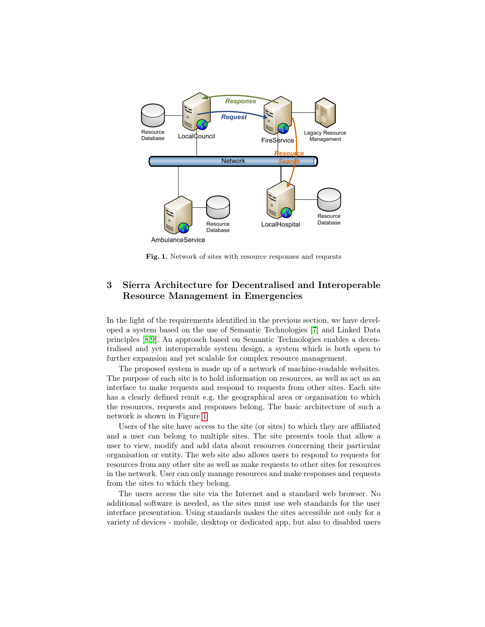

<span id="page-3-1"></span>Fig. 1. Network of sites with resource responses and requests

## <span id="page-3-0"></span>3 Sierra Architecture for Decentralised and Interoperable Resource Management in Emergencies

In the light of the requirements identified in the previous section, we have developed a system based on the use of Semantic Technologies [\[7\]](#page-11-6) and Linked Data principles [\[8,](#page-11-7)[9\]](#page-11-8). An approach based on Semantic Technologies enables a decentralised and yet interoperable system design, a system which is both open to further expansion and yet scalable for complex resource management.

The proposed system is made up of a network of machine-readable websites. The purpose of each site is to hold information on resources, as well as act as an interface to make requests and respond to requests from other sites. Each site has a clearly defined remit e.g. the geographical area or organisation to which the resources, requests and responses belong. The basic architecture of such a network is shown in Figure [1.](#page-3-1)

Users of the site have access to the site (or sites) to which they are affiliated and a user can belong to multiple sites. The site presents tools that allow a user to view, modify and add data about resources concerning their particular organisation or entity. The web site also allows users to respond to requests for resources from any other site as well as make requests to other sites for resources in the network. User can only manage resources and make responses and requests from the sites to which they belong.

The users access the site via the Internet and a standard web browser. No additional software is needed, as the sites must use web standards for the user interface presentation. Using standards makes the sites accessible not only for a variety of devices - mobile, desktop or dedicated app, but also to disabled users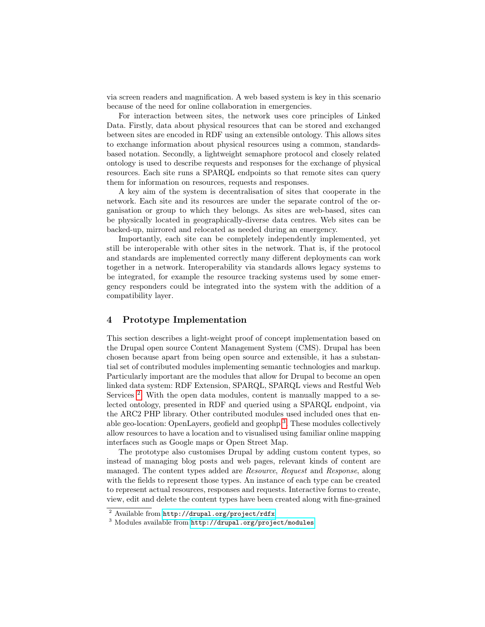via screen readers and magnification. A web based system is key in this scenario because of the need for online collaboration in emergencies.

For interaction between sites, the network uses core principles of Linked Data. Firstly, data about physical resources that can be stored and exchanged between sites are encoded in RDF using an extensible ontology. This allows sites to exchange information about physical resources using a common, standardsbased notation. Secondly, a lightweight semaphore protocol and closely related ontology is used to describe requests and responses for the exchange of physical resources. Each site runs a SPARQL endpoints so that remote sites can query them for information on resources, requests and responses.

A key aim of the system is decentralisation of sites that cooperate in the network. Each site and its resources are under the separate control of the organisation or group to which they belongs. As sites are web-based, sites can be physically located in geographically-diverse data centres. Web sites can be backed-up, mirrored and relocated as needed during an emergency.

Importantly, each site can be completely independently implemented, yet still be interoperable with other sites in the network. That is, if the protocol and standards are implemented correctly many different deployments can work together in a network. Interoperability via standards allows legacy systems to be integrated, for example the resource tracking systems used by some emergency responders could be integrated into the system with the addition of a compatibility layer.

### <span id="page-4-0"></span>4 Prototype Implementation

This section describes a light-weight proof of concept implementation based on the Drupal open source Content Management System (CMS). Drupal has been chosen because apart from being open source and extensible, it has a substantial set of contributed modules implementing semantic technologies and markup. Particularly important are the modules that allow for Drupal to become an open linked data system: RDF Extension, SPARQL, SPARQL views and Restful Web Services<sup>[2](#page-4-1)</sup>. With the open data modules, content is manually mapped to a selected ontology, presented in RDF and queried using a SPARQL endpoint, via the ARC2 PHP library. Other contributed modules used included ones that en-able geo-location: OpenLayers, geofield and geophp<sup>[3](#page-4-2)</sup>. These modules collectively allow resources to have a location and to visualised using familiar online mapping interfaces such as Google maps or Open Street Map.

The prototype also customises Drupal by adding custom content types, so instead of managing blog posts and web pages, relevant kinds of content are managed. The content types added are Resource, Request and Response, along with the fields to represent those types. An instance of each type can be created to represent actual resources, responses and requests. Interactive forms to create, view, edit and delete the content types have been created along with fine-grained

<span id="page-4-1"></span><sup>2</sup> Available from <http://drupal.org/project/rdfx>

<span id="page-4-2"></span><sup>3</sup> Modules available from <http://drupal.org/project/modules>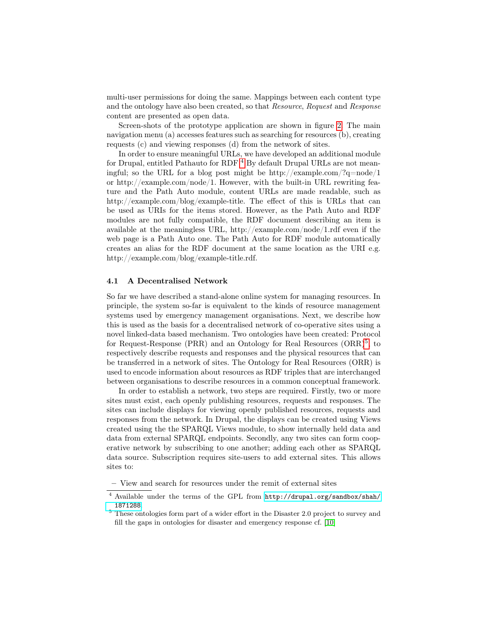multi-user permissions for doing the same. Mappings between each content type and the ontology have also been created, so that Resource, Request and Response content are presented as open data.

Screen-shots of the prototype application are shown in figure [2.](#page-6-0) The main navigation menu (a) accesses features such as searching for resources (b), creating requests (c) and viewing responses (d) from the network of sites.

In order to ensure meaningful URLs, we have developed an additional module for Drupal, entitled Pathauto for RDF<sup>[4](#page-5-0)</sup> By default Drupal URLs are not meaningful; so the URL for a blog post might be http://example.com/?q=node/1 or http://example.com/node/1. However, with the built-in URL rewriting feature and the Path Auto module, content URLs are made readable, such as http://example.com/blog/example-title. The effect of this is URLs that can be used as URIs for the items stored. However, as the Path Auto and RDF modules are not fully compatible, the RDF document describing an item is available at the meaningless URL, http://example.com/node/1.rdf even if the web page is a Path Auto one. The Path Auto for RDF module automatically creates an alias for the RDF document at the same location as the URI e.g. http://example.com/blog/example-title.rdf.

#### 4.1 A Decentralised Network

So far we have described a stand-alone online system for managing resources. In principle, the system so-far is equivalent to the kinds of resource management systems used by emergency management organisations. Next, we describe how this is used as the basis for a decentralised network of co-operative sites using a novel linked-data based mechanism. Two ontologies have been created: Protocol for Request-Response (PRR) and an Ontology for Real Resources (ORR)<sup>[5](#page-5-1)</sup>, to respectively describe requests and responses and the physical resources that can be transferred in a network of sites. The Ontology for Real Resources (ORR) is used to encode information about resources as RDF triples that are interchanged between organisations to describe resources in a common conceptual framework.

In order to establish a network, two steps are required. Firstly, two or more sites must exist, each openly publishing resources, requests and responses. The sites can include displays for viewing openly published resources, requests and responses from the network. In Drupal, the displays can be created using Views created using the the SPARQL Views module, to show internally held data and data from external SPARQL endpoints. Secondly, any two sites can form cooperative network by subscribing to one another; adding each other as SPARQL data source. Subscription requires site-users to add external sites. This allows sites to:

– View and search for resources under the remit of external sites

<span id="page-5-0"></span><sup>4</sup> Available under the terms of the GPL from [http://drupal.org/sandbox/shah/](http://drupal.org/sandbox/shah/1871288) [1871288](http://drupal.org/sandbox/shah/1871288).

<span id="page-5-1"></span> $^5$  These ontologies form part of a wider effort in the Disaster 2.0 project to survey and fill the gaps in ontologies for disaster and emergency response cf. [\[10\]](#page-11-9)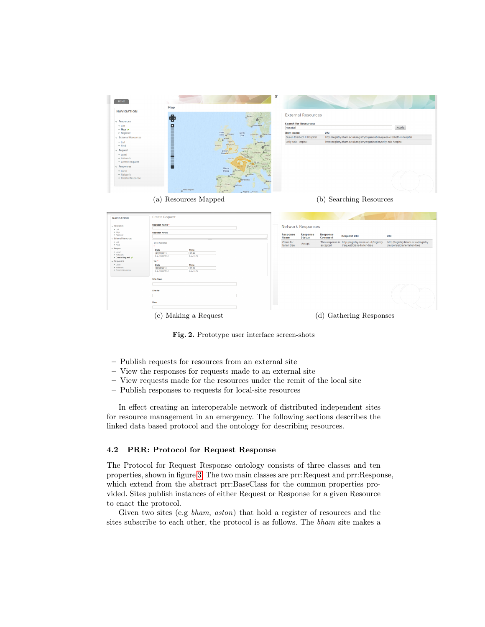| <b>NAVIGATION</b>                                                                                                                                                                                                   | Map                                                    |                                                                                                        |                                | <b>External Resources</b>        |                                   |                                                                                                                                                     |                                     |
|---------------------------------------------------------------------------------------------------------------------------------------------------------------------------------------------------------------------|--------------------------------------------------------|--------------------------------------------------------------------------------------------------------|--------------------------------|----------------------------------|-----------------------------------|-----------------------------------------------------------------------------------------------------------------------------------------------------|-------------------------------------|
| $\vee$ Resources                                                                                                                                                                                                    | $\ddot{\bullet}$                                       |                                                                                                        |                                |                                  |                                   |                                                                                                                                                     |                                     |
| $-$ List                                                                                                                                                                                                            | ø                                                      |                                                                                                        |                                | <b>Search for Resources:</b>     |                                   |                                                                                                                                                     |                                     |
| + Map √                                                                                                                                                                                                             |                                                        |                                                                                                        | Hospital                       |                                  |                                   |                                                                                                                                                     | Apply                               |
| > Register                                                                                                                                                                                                          |                                                        | <b><i>Inner</i></b><br>North<br>Soas o Glasgor<br>S <sub>0.0</sub><br>Denmark<br>$\boldsymbol{\omega}$ | item name                      |                                  | URI                               |                                                                                                                                                     |                                     |
| <b>v</b> External Resources<br>$•$ List                                                                                                                                                                             |                                                        | $\epsilon_{12}$<br>United                                                                              | Selly Oak Hospital             | Queen Elizibeth II Hospital      |                                   | http://registry.bham.ac.uk/registry/organisation/queen-elizibeth-ii-hospital<br>http://registry.bham.ac.uk/registry/organisation/selly-oak-hospital |                                     |
| • Find                                                                                                                                                                                                              |                                                        | Kinodor<br>Ireland                                                                                     |                                |                                  |                                   |                                                                                                                                                     |                                     |
| $\sim$ Request                                                                                                                                                                                                      |                                                        | Bristol.                                                                                               |                                |                                  |                                   |                                                                                                                                                     |                                     |
| • Local                                                                                                                                                                                                             | F                                                      | Chandia                                                                                                |                                |                                  |                                   |                                                                                                                                                     |                                     |
| · Network<br>• Create Request                                                                                                                                                                                       | в                                                      | Jersey                                                                                                 |                                |                                  |                                   |                                                                                                                                                     |                                     |
| $\sim$ Responses                                                                                                                                                                                                    | o                                                      |                                                                                                        |                                |                                  |                                   |                                                                                                                                                     |                                     |
| • Local                                                                                                                                                                                                             |                                                        | Bay of<br>Biscay                                                                                       |                                |                                  |                                   |                                                                                                                                                     |                                     |
| · Network                                                                                                                                                                                                           |                                                        |                                                                                                        |                                |                                  |                                   |                                                                                                                                                     |                                     |
| • Create Response                                                                                                                                                                                                   |                                                        | rrelona                                                                                                |                                |                                  |                                   |                                                                                                                                                     |                                     |
|                                                                                                                                                                                                                     |                                                        | Scal<br>Portugal                                                                                       |                                |                                  |                                   |                                                                                                                                                     |                                     |
|                                                                                                                                                                                                                     | Ponta Delgada                                          | <b>C</b> Seven                                                                                         |                                |                                  |                                   |                                                                                                                                                     |                                     |
| <b>NAVIGATION</b>                                                                                                                                                                                                   | <b>Create Request</b>                                  |                                                                                                        |                                |                                  |                                   |                                                                                                                                                     |                                     |
|                                                                                                                                                                                                                     |                                                        |                                                                                                        |                                |                                  |                                   |                                                                                                                                                     |                                     |
| $~\vee$ Resources                                                                                                                                                                                                   | <b>Request Name</b>                                    |                                                                                                        |                                |                                  |                                   |                                                                                                                                                     |                                     |
|                                                                                                                                                                                                                     | <b>Request Notes</b>                                   |                                                                                                        |                                | <b>Network Responses</b>         |                                   |                                                                                                                                                     |                                     |
|                                                                                                                                                                                                                     |                                                        |                                                                                                        | <b>Response</b><br><b>Name</b> | <b>Response</b><br><b>Status</b> | <b>Response</b><br><b>Comment</b> | <b>Request URI</b>                                                                                                                                  | URI                                 |
|                                                                                                                                                                                                                     | Date Required                                          |                                                                                                        | Crane for                      |                                  |                                   | This response is http://registry.aston.ac.uk/registry                                                                                               |                                     |
|                                                                                                                                                                                                                     |                                                        |                                                                                                        | fallen tree                    | Accept                           | accepted                          | /request/crane-fallen-tree                                                                                                                          | /response/crane-fallen-tree         |
|                                                                                                                                                                                                                     | <b>Time</b><br>Date<br>03/05/2013<br>17:45             |                                                                                                        |                                |                                  |                                   |                                                                                                                                                     |                                     |
|                                                                                                                                                                                                                     | E.g., 03/05/2013<br>E.g., 17:45                        |                                                                                                        |                                |                                  |                                   |                                                                                                                                                     |                                     |
|                                                                                                                                                                                                                     | to: *                                                  |                                                                                                        |                                |                                  |                                   |                                                                                                                                                     | http://registry.bham.ac.uk/registry |
|                                                                                                                                                                                                                     | Time<br>Date                                           |                                                                                                        |                                |                                  |                                   |                                                                                                                                                     |                                     |
|                                                                                                                                                                                                                     | 17:45<br>03/05/2013<br>E.g., 03/05/2013<br>E.g., 17.45 |                                                                                                        |                                |                                  |                                   |                                                                                                                                                     |                                     |
|                                                                                                                                                                                                                     | <b>Site from</b>                                       |                                                                                                        |                                |                                  |                                   |                                                                                                                                                     |                                     |
|                                                                                                                                                                                                                     |                                                        |                                                                                                        |                                |                                  |                                   |                                                                                                                                                     |                                     |
| $+$ List<br>$+$ Map<br>> Register<br>v External Resources<br>$+$ List<br>$+ Find$<br>$~\vee$ Request<br>· Local<br>· Network<br>• Create Request /<br>$\sim$ Responses<br>· Local<br>· Network<br>· Create Response | Site to                                                |                                                                                                        |                                |                                  |                                   |                                                                                                                                                     |                                     |
|                                                                                                                                                                                                                     |                                                        |                                                                                                        |                                |                                  |                                   |                                                                                                                                                     |                                     |
|                                                                                                                                                                                                                     |                                                        |                                                                                                        |                                |                                  |                                   |                                                                                                                                                     |                                     |
|                                                                                                                                                                                                                     | Item                                                   |                                                                                                        |                                |                                  |                                   |                                                                                                                                                     |                                     |
|                                                                                                                                                                                                                     | (c) Making a Request                                   |                                                                                                        |                                |                                  |                                   | (d) Gathering Responses                                                                                                                             |                                     |

<span id="page-6-0"></span>Fig. 2. Prototype user interface screen-shots

- Publish requests for resources from an external site
- View the responses for requests made to an external site
- View requests made for the resources under the remit of the local site
- Publish responses to requests for local-site resources

In effect creating an interoperable network of distributed independent sites for resource management in an emergency. The following sections describes the linked data based protocol and the ontology for describing resources.

### 4.2 PRR: Protocol for Request Response

The Protocol for Request Response ontology consists of three classes and ten properties, shown in figure [3.](#page-7-0) The two main classes are prr:Request and prr:Response, which extend from the abstract prr:BaseClass for the common properties provided. Sites publish instances of either Request or Response for a given Resource to enact the protocol.

Given two sites (e.g bham, aston) that hold a register of resources and the sites subscribe to each other, the protocol is as follows. The bham site makes a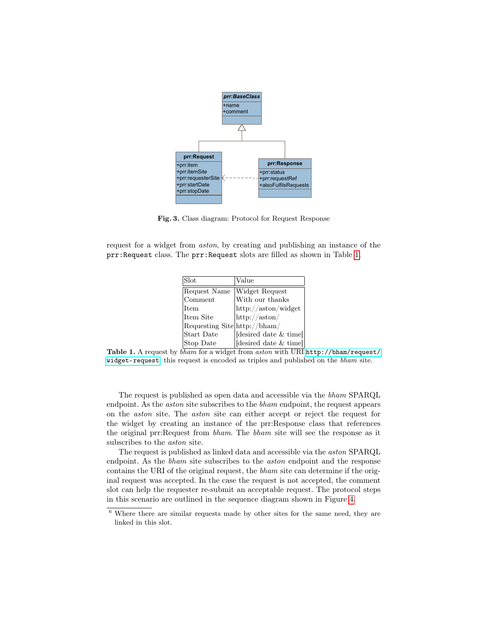

<span id="page-7-0"></span>Fig. 3. Class diagram: Protocol for Request Response

request for a widget from aston, by creating and publishing an instance of the prr:Request class. The prr:Request slots are filled as shown in Table [1.](#page-7-1)

| Slot                         | Value                   |
|------------------------------|-------------------------|
| Request Name                 | Widget Request          |
| Comment                      | With our thanks         |
| <b>Item</b>                  | http://aston/widget     |
| Item Site                    | $\frac{http://aston/}{$ |
| Requesting Site http://bham/ |                         |
| Start Date                   | desired date & time     |
| Stop Date                    | desired date & time     |

<span id="page-7-1"></span>Table 1. A request by  $\overline{bham}$  for a widget from aston with URI [http://bham/request/](http://bham/request/widget-request) [widget-request](http://bham/request/widget-request), this request is encoded as triples and published on the bham site.

The request is published as open data and accessible via the bham SPARQL endpoint. As the *aston* site subscribes to the *bham* endpoint, the request appears on the aston site. The aston site can either accept or reject the request for the widget by creating an instance of the prr:Response class that references the original prr:Request from bham. The bham site will see the response as it subscribes to the aston site.

The request is published as linked data and accessible via the aston SPARQL endpoint. As the *bham* site subscribes to the *aston* endpoint and the response contains the URI of the original request, the bham site can determine if the original request was accepted. In the case the request is not accepted, the comment slot can help the requester re-submit an acceptable request. The protocol steps in this scenario are outlined in the sequence diagram shown in Figure [4.](#page-8-1)

<span id="page-7-2"></span> $6$  Where there are similar requests made by other sites for the same need, they are linked in this slot.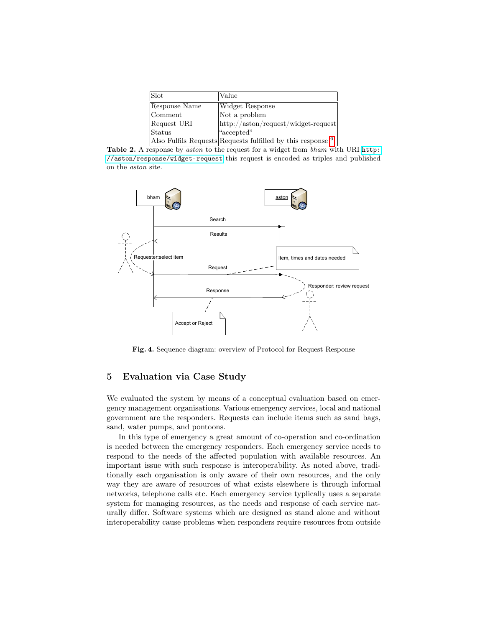| Slot          | Value                                                         |
|---------------|---------------------------------------------------------------|
| Response Name | Widget Response                                               |
| Comment       | Not a problem                                                 |
| Request URI   | $\frac{http://aston/request/widget-request}{$                 |
| Status        | "accepted"                                                    |
|               | Also Fulfils Requests Requests fulfilled by this response $6$ |

Table 2. A response by *aston* to the request for a widget from *bham* with URI [http:](http://aston/response/widget-request) [//aston/response/widget-request](http://aston/response/widget-request) this request is encoded as triples and published on the aston site.



<span id="page-8-1"></span>Fig. 4. Sequence diagram: overview of Protocol for Request Response

## <span id="page-8-0"></span>5 Evaluation via Case Study

We evaluated the system by means of a conceptual evaluation based on emergency management organisations. Various emergency services, local and national government are the responders. Requests can include items such as sand bags, sand, water pumps, and pontoons.

In this type of emergency a great amount of co-operation and co-ordination is needed between the emergency responders. Each emergency service needs to respond to the needs of the affected population with available resources. An important issue with such response is interoperability. As noted above, traditionally each organisation is only aware of their own resources, and the only way they are aware of resources of what exists elsewhere is through informal networks, telephone calls etc. Each emergency service typlically uses a separate system for managing resources, as the needs and response of each service naturally differ. Software systems which are designed as stand alone and without interoperability cause problems when responders require resources from outside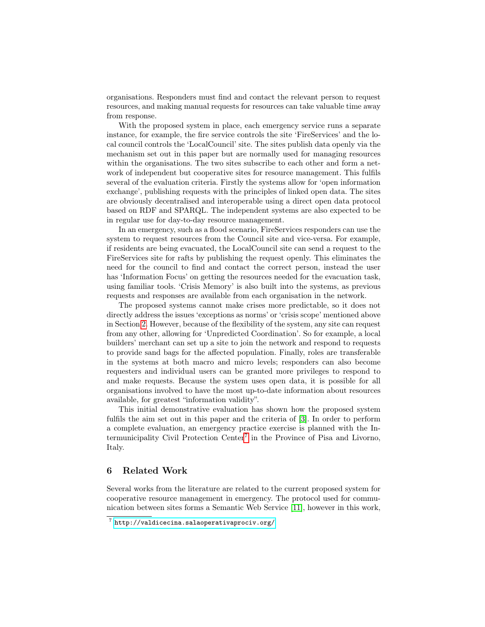organisations. Responders must find and contact the relevant person to request resources, and making manual requests for resources can take valuable time away from response.

With the proposed system in place, each emergency service runs a separate instance, for example, the fire service controls the site 'FireServices' and the local council controls the 'LocalCouncil' site. The sites publish data openly via the mechanism set out in this paper but are normally used for managing resources within the organisations. The two sites subscribe to each other and form a network of independent but cooperative sites for resource management. This fulfils several of the evaluation criteria. Firstly the systems allow for 'open information exchange', publishing requests with the principles of linked open data. The sites are obviously decentralised and interoperable using a direct open data protocol based on RDF and SPARQL. The independent systems are also expected to be in regular use for day-to-day resource management.

In an emergency, such as a flood scenario, FireServices responders can use the system to request resources from the Council site and vice-versa. For example, if residents are being evacuated, the LocalCouncil site can send a request to the FireServices site for rafts by publishing the request openly. This eliminates the need for the council to find and contact the correct person, instead the user has 'Information Focus' on getting the resources needed for the evacuation task, using familiar tools. 'Crisis Memory' is also built into the systems, as previous requests and responses are available from each organisation in the network.

The proposed systems cannot make crises more predictable, so it does not directly address the issues 'exceptions as norms' or 'crisis scope' mentioned above in Section [2.](#page-1-0) However, because of the flexibility of the system, any site can request from any other, allowing for 'Unpredicted Coordination'. So for example, a local builders' merchant can set up a site to join the network and respond to requests to provide sand bags for the affected population. Finally, roles are transferable in the systems at both macro and micro levels; responders can also become requesters and individual users can be granted more privileges to respond to and make requests. Because the system uses open data, it is possible for all organisations involved to have the most up-to-date information about resources available, for greatest "information validity".

This initial demonstrative evaluation has shown how the proposed system fulfils the aim set out in this paper and the criteria of [\[3\]](#page-11-2). In order to perform a complete evaluation, an emergency practice exercise is planned with the In-termunicipality Civil Protection Center<sup>[7](#page-9-0)</sup> in the Province of Pisa and Livorno, Italy.

## 6 Related Work

Several works from the literature are related to the current proposed system for cooperative resource management in emergency. The protocol used for communication between sites forms a Semantic Web Service [\[11\]](#page-11-10), however in this work,

<span id="page-9-0"></span> $7$  <http://valdicecina.salaoperativaprociv.org/>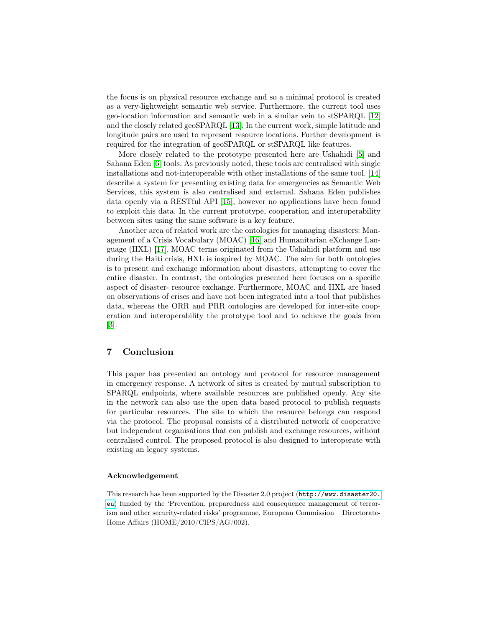the focus is on physical resource exchange and so a minimal protocol is created as a very-lightweight semantic web service. Furthermore, the current tool uses geo-location information and semantic web in a similar vein to stSPARQL [\[12\]](#page-11-11) and the closely related geoSPARQL [\[13\]](#page-11-12). In the current work, simple latitude and longitude pairs are used to represent resource locations. Further development is required for the integration of geoSPARQL or stSPARQL like features.

More closely related to the prototype presented here are Ushahidi [\[5\]](#page-11-4) and Sahana Eden [\[6\]](#page-11-5) tools. As previously noted, these tools are centralised with single installations and not-interoperable with other installations of the same tool. [\[14\]](#page-11-13) describe a system for presenting existing data for emergencies as Semantic Web Services, this system is also centralised and external. Sahana Eden publishes data openly via a RESTful API [\[15\]](#page-11-14), however no applications have been found to exploit this data. In the current prototype, cooperation and interoperability between sites using the same software is a key feature.

Another area of related work are the ontologies for managing disasters: Management of a Crisis Vocabulary (MOAC) [\[16\]](#page-11-15) and Humanitarian eXchange Language (HXL) [\[17\]](#page-11-16). MOAC terms originated from the Ushahidi platform and use during the Haiti crisis, HXL is inspired by MOAC. The aim for both ontologies is to present and exchange information about disasters, attempting to cover the entire disaster. In contrast, the ontologies presented here focuses on a specific aspect of disaster- resource exchange. Furthermore, MOAC and HXL are based on observations of crises and have not been integrated into a tool that publishes data, whereas the ORR and PRR ontologies are developed for inter-site cooperation and interoperability the prototype tool and to achieve the goals from [\[3\]](#page-11-2).

## 7 Conclusion

This paper has presented an ontology and protocol for resource management in emergency response. A network of sites is created by mutual subscription to SPARQL endpoints, where available resources are published openly. Any site in the network can also use the open data based protocol to publish requests for particular resources. The site to which the resource belongs can respond via the protocol. The proposal consists of a distributed network of cooperative but independent organisations that can publish and exchange resources, without centralised control. The proposed protocol is also designed to interoperate with existing an legacy systems.

#### Acknowledgement

This research has been supported by the Disaster 2.0 project ([http://www.disaster20.](http://www.disaster20.eu) [eu](http://www.disaster20.eu)) funded by the 'Prevention, preparedness and consequence management of terrorism and other security-related risks' programme, European Commission – Directorate-Home Affairs (HOME/2010/CIPS/AG/002).